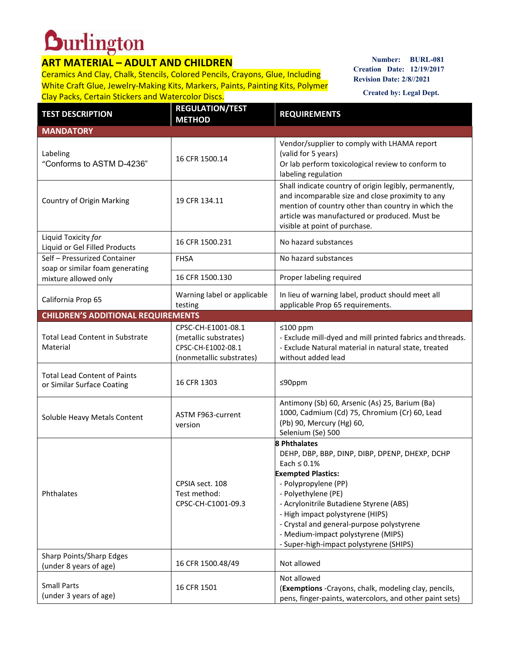## **Durlington**

## **ART MATERIAL – ADULT AND CHILDREN**

Ceramics And Clay, Chalk, Stencils, Colored Pencils, Crayons, Glue, Including White Craft Glue, Jewelry-Making Kits, Markers, Paints, Painting Kits, Polymer Clay Packs, Certain Stickers and Watercolor Discs.

**Number: BURL-081 Creation Date: 12/19/2017 Revision Date: 2/8//2021**

**Created by: Legal Dept.**

| <b>TEST DESCRIPTION</b>                                           | <b>REGULATION/TEST</b><br><b>METHOD</b>                                                       | <b>REQUIREMENTS</b>                                                                                                                                                                                                                                                                                                                                                                 |  |  |
|-------------------------------------------------------------------|-----------------------------------------------------------------------------------------------|-------------------------------------------------------------------------------------------------------------------------------------------------------------------------------------------------------------------------------------------------------------------------------------------------------------------------------------------------------------------------------------|--|--|
| <b>MANDATORY</b>                                                  |                                                                                               |                                                                                                                                                                                                                                                                                                                                                                                     |  |  |
| Labeling<br>"Conforms to ASTM D-4236"                             | 16 CFR 1500.14                                                                                | Vendor/supplier to comply with LHAMA report<br>(valid for 5 years)<br>Or lab perform toxicological review to conform to<br>labeling regulation                                                                                                                                                                                                                                      |  |  |
| Country of Origin Marking                                         | 19 CFR 134.11                                                                                 | Shall indicate country of origin legibly, permanently,<br>and incomparable size and close proximity to any<br>mention of country other than country in which the<br>article was manufactured or produced. Must be<br>visible at point of purchase.                                                                                                                                  |  |  |
| Liquid Toxicity for<br>Liquid or Gel Filled Products              | 16 CFR 1500.231                                                                               | No hazard substances                                                                                                                                                                                                                                                                                                                                                                |  |  |
| Self - Pressurized Container<br>soap or similar foam generating   | <b>FHSA</b>                                                                                   | No hazard substances                                                                                                                                                                                                                                                                                                                                                                |  |  |
| mixture allowed only                                              | 16 CFR 1500.130                                                                               | Proper labeling required                                                                                                                                                                                                                                                                                                                                                            |  |  |
| California Prop 65                                                | Warning label or applicable<br>testing                                                        | In lieu of warning label, product should meet all<br>applicable Prop 65 requirements.                                                                                                                                                                                                                                                                                               |  |  |
| <b>CHILDREN'S ADDITIONAL REQUIREMENTS</b>                         |                                                                                               |                                                                                                                                                                                                                                                                                                                                                                                     |  |  |
| <b>Total Lead Content in Substrate</b><br>Material                | CPSC-CH-E1001-08.1<br>(metallic substrates)<br>CPSC-CH-E1002-08.1<br>(nonmetallic substrates) | ≤100 ppm<br>- Exclude mill-dyed and mill printed fabrics and threads.<br>- Exclude Natural material in natural state, treated<br>without added lead                                                                                                                                                                                                                                 |  |  |
| <b>Total Lead Content of Paints</b><br>or Similar Surface Coating | 16 CFR 1303                                                                                   | ≤90ppm                                                                                                                                                                                                                                                                                                                                                                              |  |  |
| Soluble Heavy Metals Content                                      | ASTM F963-current<br>version                                                                  | Antimony (Sb) 60, Arsenic (As) 25, Barium (Ba)<br>1000, Cadmium (Cd) 75, Chromium (Cr) 60, Lead<br>(Pb) 90, Mercury (Hg) 60,<br>Selenium (Se) 500                                                                                                                                                                                                                                   |  |  |
| Phthalates                                                        | CPSIA sect. 108<br>Test method:<br>CPSC-CH-C1001-09.3                                         | <b>8 Phthalates</b><br>DEHP, DBP, BBP, DINP, DIBP, DPENP, DHEXP, DCHP<br>Each $\leq 0.1\%$<br><b>Exempted Plastics:</b><br>- Polypropylene (PP)<br>- Polyethylene (PE)<br>- Acrylonitrile Butadiene Styrene (ABS)<br>- High impact polystyrene (HIPS)<br>- Crystal and general-purpose polystyrene<br>- Medium-impact polystyrene (MIPS)<br>- Super-high-impact polystyrene (SHIPS) |  |  |
| Sharp Points/Sharp Edges<br>(under 8 years of age)                | 16 CFR 1500.48/49                                                                             | Not allowed                                                                                                                                                                                                                                                                                                                                                                         |  |  |
| <b>Small Parts</b><br>(under 3 years of age)                      | 16 CFR 1501                                                                                   | Not allowed<br>(Exemptions -Crayons, chalk, modeling clay, pencils,<br>pens, finger-paints, watercolors, and other paint sets)                                                                                                                                                                                                                                                      |  |  |